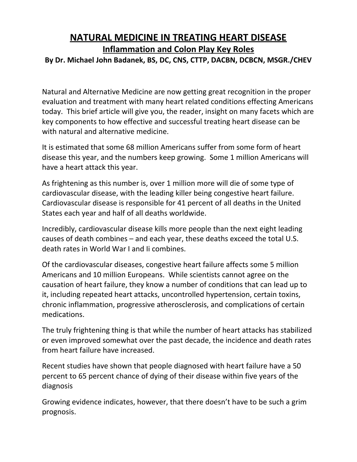# **NATURAL MEDICINE IN TREATING HEART DISEASE Inflammation and Colon Play Key Roles By Dr. Michael John Badanek, BS, DC, CNS, CTTP, DACBN, DCBCN, MSGR./CHEV**

Natural and Alternative Medicine are now getting great recognition in the proper evaluation and treatment with many heart related conditions effecting Americans today. This brief article will give you, the reader, insight on many facets which are key components to how effective and successful treating heart disease can be with natural and alternative medicine.

It is estimated that some 68 million Americans suffer from some form of heart disease this year, and the numbers keep growing. Some 1 million Americans will have a heart attack this year.

As frightening as this number is, over 1 million more will die of some type of cardiovascular disease, with the leading killer being congestive heart failure. Cardiovascular disease is responsible for 41 percent of all deaths in the United States each year and half of all deaths worldwide.

Incredibly, cardiovascular disease kills more people than the next eight leading causes of death combines – and each year, these deaths exceed the total U.S. death rates in World War I and Ii combines.

Of the cardiovascular diseases, congestive heart failure affects some 5 million Americans and 10 million Europeans. While scientists cannot agree on the causation of heart failure, they know a number of conditions that can lead up to it, including repeated heart attacks, uncontrolled hypertension, certain toxins, chronic inflammation, progressive atherosclerosis, and complications of certain medications.

The truly frightening thing is that while the number of heart attacks has stabilized or even improved somewhat over the past decade, the incidence and death rates from heart failure have increased.

Recent studies have shown that people diagnosed with heart failure have a 50 percent to 65 percent chance of dying of their disease within five years of the diagnosis

Growing evidence indicates, however, that there doesn't have to be such a grim prognosis.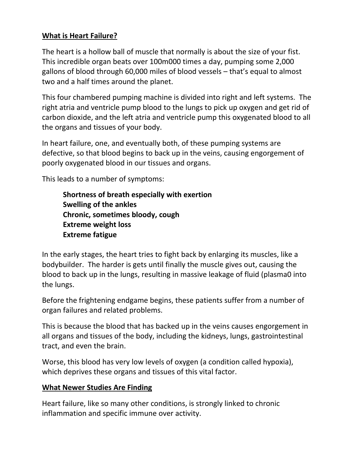## **What is Heart Failure?**

The heart is a hollow ball of muscle that normally is about the size of your fist. This incredible organ beats over 100m000 times a day, pumping some 2,000 gallons of blood through 60,000 miles of blood vessels – that's equal to almost two and a half times around the planet.

This four chambered pumping machine is divided into right and left systems. The right atria and ventricle pump blood to the lungs to pick up oxygen and get rid of carbon dioxide, and the left atria and ventricle pump this oxygenated blood to all the organs and tissues of your body.

In heart failure, one, and eventually both, of these pumping systems are defective, so that blood begins to back up in the veins, causing engorgement of poorly oxygenated blood in our tissues and organs.

This leads to a number of symptoms:

**Shortness of breath especially with exertion Swelling of the ankles Chronic, sometimes bloody, cough Extreme weight loss Extreme fatigue**

In the early stages, the heart tries to fight back by enlarging its muscles, like a bodybuilder. The harder is gets until finally the muscle gives out, causing the blood to back up in the lungs, resulting in massive leakage of fluid (plasma0 into the lungs.

Before the frightening endgame begins, these patients suffer from a number of organ failures and related problems.

This is because the blood that has backed up in the veins causes engorgement in all organs and tissues of the body, including the kidneys, lungs, gastrointestinal tract, and even the brain.

Worse, this blood has very low levels of oxygen (a condition called hypoxia), which deprives these organs and tissues of this vital factor.

#### **What Newer Studies Are Finding**

Heart failure, like so many other conditions, is strongly linked to chronic inflammation and specific immune over activity.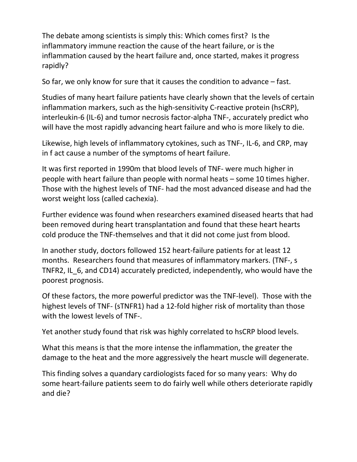The debate among scientists is simply this: Which comes first? Is the inflammatory immune reaction the cause of the heart failure, or is the inflammation caused by the heart failure and, once started, makes it progress rapidly?

So far, we only know for sure that it causes the condition to advance – fast.

Studies of many heart failure patients have clearly shown that the levels of certain inflammation markers, such as the high-sensitivity C-reactive protein (hsCRP), interleukin-6 (IL-6) and tumor necrosis factor-alpha TNF-, accurately predict who will have the most rapidly advancing heart failure and who is more likely to die.

Likewise, high levels of inflammatory cytokines, such as TNF-, IL-6, and CRP, may in f act cause a number of the symptoms of heart failure.

It was first reported in 1990m that blood levels of TNF- were much higher in people with heart failure than people with normal heats – some 10 times higher. Those with the highest levels of TNF- had the most advanced disease and had the worst weight loss (called cachexia).

Further evidence was found when researchers examined diseased hearts that had been removed during heart transplantation and found that these heart hearts cold produce the TNF-themselves and that it did not come just from blood.

In another study, doctors followed 152 heart-failure patients for at least 12 months. Researchers found that measures of inflammatory markers. (TNF-, s TNFR2, IL\_6, and CD14) accurately predicted, independently, who would have the poorest prognosis.

Of these factors, the more powerful predictor was the TNF-level). Those with the highest levels of TNF- (sTNFR1) had a 12-fold higher risk of mortality than those with the lowest levels of TNF-.

Yet another study found that risk was highly correlated to hsCRP blood levels.

What this means is that the more intense the inflammation, the greater the damage to the heat and the more aggressively the heart muscle will degenerate.

This finding solves a quandary cardiologists faced for so many years: Why do some heart-failure patients seem to do fairly well while others deteriorate rapidly and die?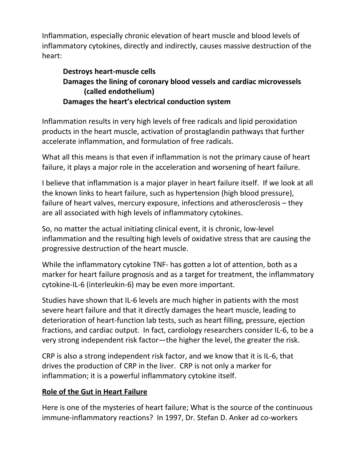Inflammation, especially chronic elevation of heart muscle and blood levels of inflammatory cytokines, directly and indirectly, causes massive destruction of the heart:

# **Destroys heart-muscle cells Damages the lining of coronary blood vessels and cardiac microvessels (called endothelium) Damages the heart's electrical conduction system**

Inflammation results in very high levels of free radicals and lipid peroxidation products in the heart muscle, activation of prostaglandin pathways that further accelerate inflammation, and formulation of free radicals.

What all this means is that even if inflammation is not the primary cause of heart failure, it plays a major role in the acceleration and worsening of heart failure.

I believe that inflammation is a major player in heart failure itself. If we look at all the known links to heart failure, such as hypertension (high blood pressure), failure of heart valves, mercury exposure, infections and atherosclerosis – they are all associated with high levels of inflammatory cytokines.

So, no matter the actual initiating clinical event, it is chronic, low-level inflammation and the resulting high levels of oxidative stress that are causing the progressive destruction of the heart muscle.

While the inflammatory cytokine TNF- has gotten a lot of attention, both as a marker for heart failure prognosis and as a target for treatment, the inflammatory cytokine-IL-6 (interleukin-6) may be even more important.

Studies have shown that IL-6 levels are much higher in patients with the most severe heart failure and that it directly damages the heart muscle, leading to deterioration of heart-function lab tests, such as heart filling, pressure, ejection fractions, and cardiac output. In fact, cardiology researchers consider IL-6, to be a very strong independent risk factor—the higher the level, the greater the risk.

CRP is also a strong independent risk factor, and we know that it is IL-6, that drives the production of CRP in the liver. CRP is not only a marker for inflammation; it is a powerful inflammatory cytokine itself.

## **Role of the Gut in Heart Failure**

Here is one of the mysteries of heart failure; What is the source of the continuous immune-inflammatory reactions? In 1997, Dr. Stefan D. Anker ad co-workers